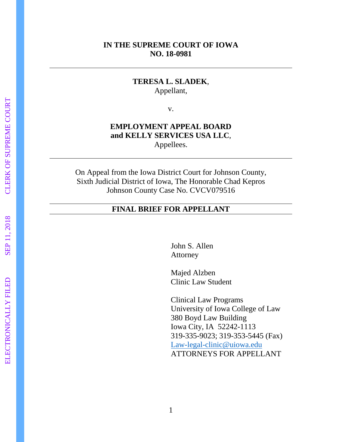## **IN THE SUPREME COURT OF IOWA NO. 18 -0981**

## **TERESA L. SLADEK** , Appellant,

v.

## **EMPLOYMENT APPEAL BOARD and KELLY SERVICES USA LLC** , Appellees.

On Appeal from the Iowa District Court for Johnson County, Sixth Judicial District of Iowa, The Honorable Chad Kepros Johnson County Case No. CVCV079516

#### **FINAL BRIEF FOR APPELLANT**

John S. Allen Attorney

Majed Alzben Clinic Law Studen t

Clinical Law Programs University of Iowa College of Law 380 Boyd Law Building Iowa City, IA 52242 -1113 319 -335 -9023; 319 -353 -5445 (Fax) Law-legal[-clinic@uiowa.edu](mailto:Law-legal-clinic@uiowa.edu) ATTORNEYS FOR APPELLANT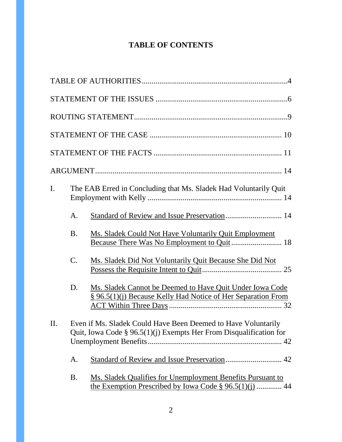# **TABLE OF CONTENTS**

| $\mathbf{I}$ . | The EAB Erred in Concluding that Ms. Sladek Had Voluntarily Quit |                                                                                                                                       |
|----------------|------------------------------------------------------------------|---------------------------------------------------------------------------------------------------------------------------------------|
|                | A.                                                               | Standard of Review and Issue Preservation 14                                                                                          |
|                | <b>B.</b>                                                        | Ms. Sladek Could Not Have Voluntarily Quit Employment                                                                                 |
|                | $\mathcal{C}$ .                                                  | Ms. Sladek Did Not Voluntarily Quit Because She Did Not                                                                               |
|                | D.                                                               | Ms. Sladek Cannot be Deemed to Have Quit Under Iowa Code<br>§ 96.5(1)(j) Because Kelly Had Notice of Her Separation From              |
| $\Pi$ .        |                                                                  | Even if Ms. Sladek Could Have Been Deemed to Have Voluntarily<br>Quit, Iowa Code § $96.5(1)(j)$ Exempts Her From Disqualification for |
|                | A.                                                               |                                                                                                                                       |
|                | <b>B.</b>                                                        | Ms. Sladek Qualifies for Unemployment Benefits Pursuant to<br>the Exemption Prescribed by Iowa Code $\S 96.5(1)(i)$ 44                |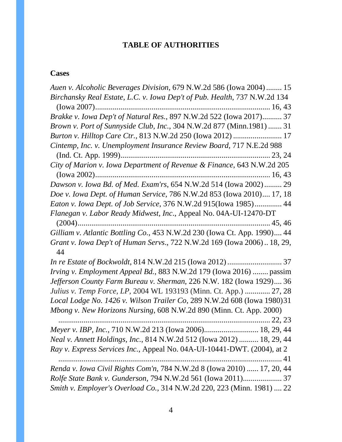# **TABLE OF AUTHORITIES**

# **Cases**

| Auen v. Alcoholic Beverages Division, 679 N.W.2d 586 (Iowa 2004)  15          |
|-------------------------------------------------------------------------------|
| Birchansky Real Estate, L.C. v. Iowa Dep't of Pub. Health, 737 N.W.2d 134     |
|                                                                               |
| Brakke v. Iowa Dep't of Natural Res., 897 N.W.2d 522 (Iowa 2017) 37           |
| Brown v. Port of Sunnyside Club, Inc., 304 N.W.2d 877 (Minn.1981)  31         |
| Burton v. Hilltop Care Ctr., 813 N.W.2d 250 (Iowa 2012)  17                   |
| Cintemp, Inc. v. Unemployment Insurance Review Board, 717 N.E.2d 988          |
|                                                                               |
| City of Marion v. Iowa Department of Revenue & Finance, 643 N.W.2d 205        |
|                                                                               |
| Dawson v. Iowa Bd. of Med. Exam'rs, 654 N.W.2d 514 (Iowa 2002) 29             |
| Doe v. Iowa Dept. of Human Service, 786 N.W.2d 853 (Iowa 2010) 17, 18         |
| Eaton v. Iowa Dept. of Job Service, 376 N.W.2d 915(Iowa 1985) 44              |
| Flanegan v. Labor Ready Midwest, Inc., Appeal No. 04A-UI-12470-DT             |
| Gilliam v. Atlantic Bottling Co., 453 N.W.2d 230 (Iowa Ct. App. 1990) 44      |
| Grant v. Iowa Dep't of Human Servs., 722 N.W.2d 169 (Iowa 2006) 18, 29,<br>44 |
|                                                                               |
| Irving v. Employment Appeal Bd., 883 N.W.2d 179 (Iowa 2016)  passim           |
| Jefferson County Farm Bureau v. Sherman, 226 N.W. 182 (Iowa 1929) 36          |
| Julius v. Temp Force, LP, 2004 WL 193193 (Minn. Ct. App.)  27, 28             |
| Local Lodge No. 1426 v. Wilson Trailer Co, 289 N.W.2d 608 (Iowa 1980)31       |
| Mbong v. New Horizons Nursing, 608 N.W.2d 890 (Minn. Ct. App. 2000)           |
|                                                                               |
| Meyer v. IBP, Inc., 710 N.W.2d 213 (Iowa 2006) 18, 29, 44                     |
| Neal v. Annett Holdings, Inc., 814 N.W.2d 512 (Iowa 2012)  18, 29, 44         |
| Ray v. Express Services Inc., Appeal No. 04A-UI-10441-DWT. (2004), at 2       |
| 41                                                                            |
| Renda v. Iowa Civil Rights Com'n, 784 N.W.2d 8 (Iowa 2010)  17, 20, 44        |
|                                                                               |
| Smith v. Employer's Overload Co., 314 N.W.2d 220, 223 (Minn. 1981)  22        |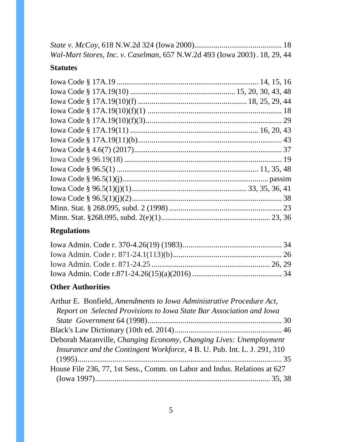| Wal-Mart Stores, Inc. v. Caselman, 657 N.W.2d 493 (Iowa 2003). 18, 29, 44 |  |
|---------------------------------------------------------------------------|--|

# **Statutes**

# **Regulations**

# **Other Authorities**

| Arthur E. Bonfield, Amendments to Iowa Administrative Procedure Act,      |  |
|---------------------------------------------------------------------------|--|
| Report on Selected Provisions to Iowa State Bar Association and Iowa      |  |
|                                                                           |  |
|                                                                           |  |
| Deborah Maranville, Changing Economy, Changing Lives: Unemployment        |  |
| Insurance and the Contingent Workforce, 4 B. U. Pub. Int. L. J. 291, 310  |  |
|                                                                           |  |
| House File 236, 77, 1st Sess., Comm. on Labor and Indus. Relations at 627 |  |
|                                                                           |  |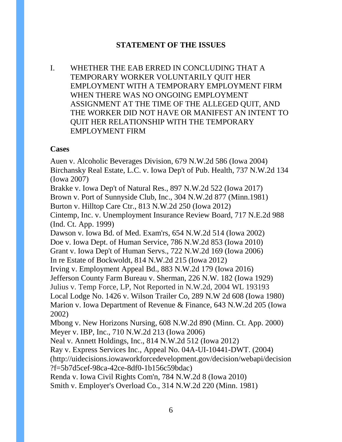## **STATEMENT OF THE ISSUES**

I. WHETHER THE EAB ERRED IN CONCLUDING THAT A TEMPORARY WORKER VOLUNTARILY QUIT HER EMPLOYMENT WITH A TEMPORARY EMPLOYMENT FIRM WHEN THERE WAS NO ONGOING EMPLOYMENT ASSIGNMENT AT THE TIME OF THE ALLEGED QUIT, AND THE WORKER DID NOT HAVE OR MANIFEST AN INTENT TO QUIT HER RELATIONSHIP WITH THE TEMPORARY EMPLOYMENT FIRM

#### **Cases**

Auen v. Alcoholic Beverages Division, 679 N.W.2d 586 (Iowa 2004) Birchansky Real Estate, L.C. v. Iowa Dep't of Pub. Health, 737 N.W.2d 134 (Iowa 2007) Brakke v. Iowa Dep't of Natural Res., 897 N.W.2d 522 (Iowa 2017) Brown v. Port of Sunnyside Club, Inc., 304 N.W.2d 877 (Minn.1981) Burton v. Hilltop Care Ctr., 813 N.W.2d 250 (Iowa 2012) Cintemp, Inc. v. Unemployment Insurance Review Board, 717 N.E.2d 988 (Ind. Ct. App. 1999) Dawson v. Iowa Bd. of Med. Exam'rs, 654 N.W.2d 514 (Iowa 2002) Doe v. Iowa Dept. of Human Service, 786 N.W.2d 853 (Iowa 2010) Grant v. Iowa Dep't of Human Servs., 722 N.W.2d 169 (Iowa 2006) In re Estate of Bockwoldt, 814 N.W.2d 215 (Iowa 2012) Irving v. Employment Appeal Bd., 883 N.W.2d 179 (Iowa 2016) Jefferson County Farm Bureau v. Sherman, 226 N.W. 182 (Iowa 1929) Julius v. Temp Force, LP, Not Reported in N.W.2d, 2004 WL 193193 Local Lodge No. 1426 v. Wilson Trailer Co, 289 N.W 2d 608 (Iowa 1980) Marion v. Iowa Department of Revenue & Finance, 643 N.W.2d 205 (Iowa 2002) Mbong v. New Horizons Nursing, 608 N.W.2d 890 (Minn. Ct. App. 2000) Meyer v. IBP, Inc., 710 N.W.2d 213 (Iowa 2006) Neal v. Annett Holdings, Inc., 814 N.W.2d 512 (Iowa 2012) Ray v. Express Services Inc., Appeal No. 04A-UI-10441-DWT. (2004) (http://uidecisions.iowaworkforcedevelopment.gov/decision/webapi/decision ?f=5b7d5cef-98ca-42ce-8df0-1b156c59bdac) Renda v. Iowa Civil Rights Com'n, 784 N.W.2d 8 (Iowa 2010)

Smith v. Employer's Overload Co., 314 N.W.2d 220 (Minn. 1981)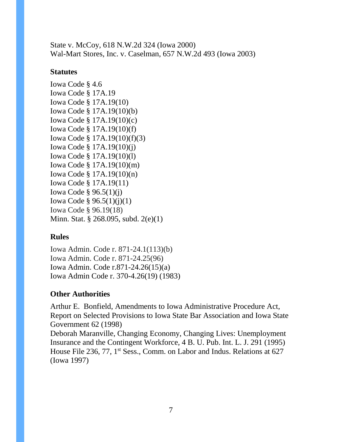State v. McCoy, 618 N.W.2d 324 (Iowa 2000) Wal-Mart Stores, Inc. v. Caselman, 657 N.W.2d 493 (Iowa 2003)

## **Statutes**

Iowa Code § 4.6 Iowa Code § 17A.19 Iowa Code § 17A.19(10) Iowa Code § 17A.19(10)(b) Iowa Code § 17A.19(10)(c) Iowa Code § 17A.19(10)(f) Iowa Code § 17A.19(10)(f)(3) Iowa Code § 17A.19(10)(j) Iowa Code § 17A.19(10)(l) Iowa Code § 17A.19(10)(m) Iowa Code § 17A.19(10)(n) Iowa Code § 17A.19(11) Iowa Code § 96.5(1)(j) Iowa Code § 96.5(1)(j)(1) Iowa Code § 96.19(18) Minn. Stat. § 268.095, subd. 2(e)(1)

## **Rules**

Iowa Admin. Code r. 871-24.1(113)(b) Iowa Admin. Code r. 871-24.25(96) Iowa Admin. Code r.871-24.26(15)(a) Iowa Admin Code r. 370-4.26(19) (1983)

# **Other Authorities**

Arthur E. Bonfield, Amendments to Iowa Administrative Procedure Act, Report on Selected Provisions to Iowa State Bar Association and Iowa State Government 62 (1998)

Deborah Maranville, Changing Economy, Changing Lives: Unemployment Insurance and the Contingent Workforce, 4 B. U. Pub. Int. L. J. 291 (1995) House File 236, 77, 1<sup>st</sup> Sess., Comm. on Labor and Indus. Relations at 627 (Iowa 1997)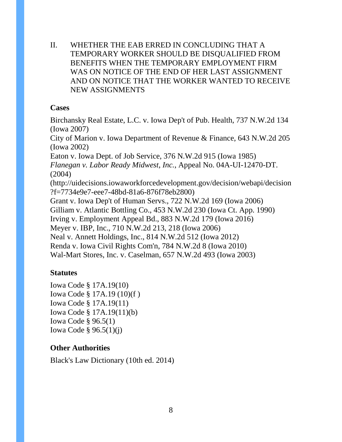II. WHETHER THE EAB ERRED IN CONCLUDING THAT A TEMPORARY WORKER SHOULD BE DISQUALIFIED FROM BENEFITS WHEN THE TEMPORARY EMPLOYMENT FIRM WAS ON NOTICE OF THE END OF HER LAST ASSIGNMENT AND ON NOTICE THAT THE WORKER WANTED TO RECEIVE NEW ASSIGNMENTS

#### **Cases**

Birchansky Real Estate, L.C. v. Iowa Dep't of Pub. Health, 737 N.W.2d 134 (Iowa 2007)

City of Marion v. Iowa Department of Revenue & Finance, 643 N.W.2d 205 (Iowa 2002)

Eaton v. Iowa Dept. of Job Service, 376 N.W.2d 915 (Iowa 1985)

*Flanegan v. Labor Ready Midwest, Inc.*, Appeal No. 04A-UI-12470-DT. (2004)

(http://uidecisions.iowaworkforcedevelopment.gov/decision/webapi/decision ?f=7734e9e7-eee7-48bd-81a6-876f78eb2800)

Grant v. Iowa Dep't of Human Servs., 722 N.W.2d 169 (Iowa 2006) Gilliam v. Atlantic Bottling Co., 453 N.W.2d 230 (Iowa Ct. App. 1990) Irving v. Employment Appeal Bd., 883 N.W.2d 179 (Iowa 2016) Meyer v. IBP, Inc., 710 N.W.2d 213, 218 (Iowa 2006) Neal v. Annett Holdings, Inc., 814 N.W.2d 512 (Iowa 2012) Renda v. Iowa Civil Rights Com'n, 784 N.W.2d 8 (Iowa 2010) Wal-Mart Stores, Inc. v. Caselman, 657 N.W.2d 493 (Iowa 2003)

## **Statutes**

Iowa Code § 17A.19(10) Iowa Code § 17A.19 (10)(f ) Iowa Code § 17A.19(11) Iowa Code § 17A.19(11)(b) Iowa Code § 96.5(1) Iowa Code § 96.5(1)(j)

## **Other Authorities**

Black's Law Dictionary (10th ed. 2014)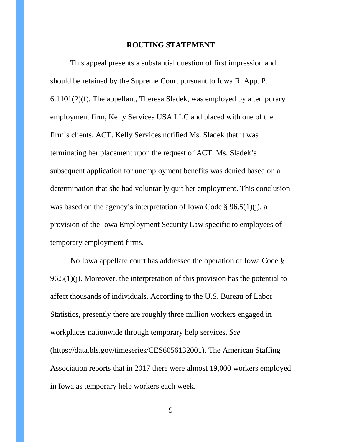#### **ROUTING STATEMENT**

This appeal presents a substantial question of first impression and should be retained by the Supreme Court pursuant to Iowa R. App. P. 6.1101(2)(f). The appellant, Theresa Sladek, was employed by a temporary employment firm, Kelly Services USA LLC and placed with one of the firm's clients, ACT. Kelly Services notified Ms. Sladek that it was terminating her placement upon the request of ACT. Ms. Sladek's subsequent application for unemployment benefits was denied based on a determination that she had voluntarily quit her employment. This conclusion was based on the agency's interpretation of Iowa Code § 96.5(1)(j), a provision of the Iowa Employment Security Law specific to employees of temporary employment firms.

No Iowa appellate court has addressed the operation of Iowa Code §  $96.5(1)(j)$ . Moreover, the interpretation of this provision has the potential to affect thousands of individuals. According to the U.S. Bureau of Labor Statistics, presently there are roughly three million workers engaged in workplaces nationwide through temporary help services. *See* (https://data.bls.gov/timeseries/CES6056132001). The American Staffing Association reports that in 2017 there were almost 19,000 workers employed in Iowa as temporary help workers each week.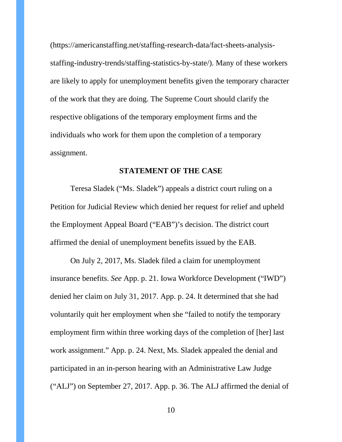(https://americanstaffing.net/staffing-research-data/fact-sheets-analysisstaffing-industry-trends/staffing-statistics-by-state/). Many of these workers are likely to apply for unemployment benefits given the temporary character of the work that they are doing. The Supreme Court should clarify the respective obligations of the temporary employment firms and the individuals who work for them upon the completion of a temporary assignment.

#### **STATEMENT OF THE CASE**

Teresa Sladek ("Ms. Sladek") appeals a district court ruling on a Petition for Judicial Review which denied her request for relief and upheld the Employment Appeal Board ("EAB")'s decision. The district court affirmed the denial of unemployment benefits issued by the EAB.

On July 2, 2017, Ms. Sladek filed a claim for unemployment insurance benefits. *See* App. p. 21. Iowa Workforce Development ("IWD") denied her claim on July 31, 2017. App. p. 24. It determined that she had voluntarily quit her employment when she "failed to notify the temporary employment firm within three working days of the completion of [her] last work assignment." App. p. 24. Next, Ms. Sladek appealed the denial and participated in an in-person hearing with an Administrative Law Judge ("ALJ") on September 27, 2017. App. p. 36. The ALJ affirmed the denial of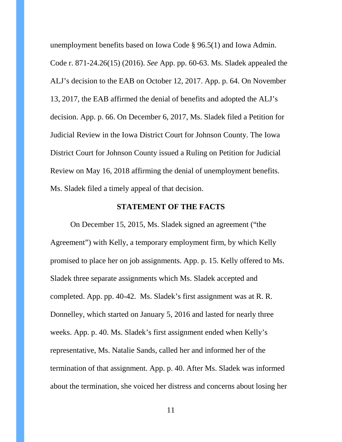unemployment benefits based on Iowa Code § 96.5(1) and Iowa Admin. Code r. 871-24.26(15) (2016). *See* App. pp. 60-63. Ms. Sladek appealed the ALJ's decision to the EAB on October 12, 2017. App. p. 64. On November 13, 2017, the EAB affirmed the denial of benefits and adopted the ALJ's decision. App. p. 66. On December 6, 2017, Ms. Sladek filed a Petition for Judicial Review in the Iowa District Court for Johnson County. The Iowa District Court for Johnson County issued a Ruling on Petition for Judicial Review on May 16, 2018 affirming the denial of unemployment benefits. Ms. Sladek filed a timely appeal of that decision.

#### **STATEMENT OF THE FACTS**

On December 15, 2015, Ms. Sladek signed an agreement ("the Agreement") with Kelly, a temporary employment firm, by which Kelly promised to place her on job assignments. App. p. 15. Kelly offered to Ms. Sladek three separate assignments which Ms. Sladek accepted and completed. App. pp. 40-42. Ms. Sladek's first assignment was at R. R. Donnelley, which started on January 5, 2016 and lasted for nearly three weeks. App. p. 40. Ms. Sladek's first assignment ended when Kelly's representative, Ms. Natalie Sands, called her and informed her of the termination of that assignment. App. p. 40. After Ms. Sladek was informed about the termination, she voiced her distress and concerns about losing her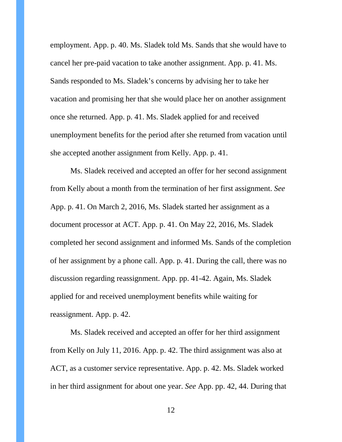employment. App. p. 40. Ms. Sladek told Ms. Sands that she would have to cancel her pre-paid vacation to take another assignment. App. p. 41. Ms. Sands responded to Ms. Sladek's concerns by advising her to take her vacation and promising her that she would place her on another assignment once she returned. App. p. 41. Ms. Sladek applied for and received unemployment benefits for the period after she returned from vacation until she accepted another assignment from Kelly. App. p. 41.

Ms. Sladek received and accepted an offer for her second assignment from Kelly about a month from the termination of her first assignment. *See* App. p. 41. On March 2, 2016, Ms. Sladek started her assignment as a document processor at ACT. App. p. 41. On May 22, 2016, Ms. Sladek completed her second assignment and informed Ms. Sands of the completion of her assignment by a phone call. App. p. 41. During the call, there was no discussion regarding reassignment. App. pp. 41-42. Again, Ms. Sladek applied for and received unemployment benefits while waiting for reassignment. App. p. 42.

Ms. Sladek received and accepted an offer for her third assignment from Kelly on July 11, 2016. App. p. 42. The third assignment was also at ACT, as a customer service representative. App. p. 42. Ms. Sladek worked in her third assignment for about one year. *See* App. pp. 42, 44. During that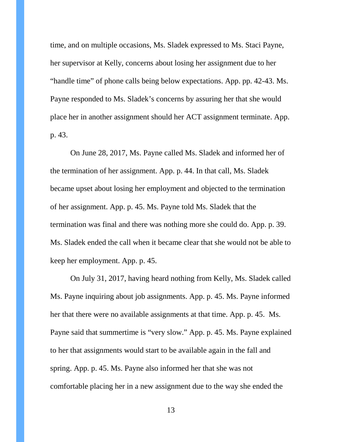time, and on multiple occasions, Ms. Sladek expressed to Ms. Staci Payne, her supervisor at Kelly, concerns about losing her assignment due to her "handle time" of phone calls being below expectations. App. pp. 42-43. Ms. Payne responded to Ms. Sladek's concerns by assuring her that she would place her in another assignment should her ACT assignment terminate. App. p. 43.

On June 28, 2017, Ms. Payne called Ms. Sladek and informed her of the termination of her assignment. App. p. 44. In that call, Ms. Sladek became upset about losing her employment and objected to the termination of her assignment. App. p. 45. Ms. Payne told Ms. Sladek that the termination was final and there was nothing more she could do. App. p. 39. Ms. Sladek ended the call when it became clear that she would not be able to keep her employment. App. p. 45.

On July 31, 2017, having heard nothing from Kelly, Ms. Sladek called Ms. Payne inquiring about job assignments. App. p. 45. Ms. Payne informed her that there were no available assignments at that time. App. p. 45. Ms. Payne said that summertime is "very slow." App. p. 45. Ms. Payne explained to her that assignments would start to be available again in the fall and spring. App. p. 45. Ms. Payne also informed her that she was not comfortable placing her in a new assignment due to the way she ended the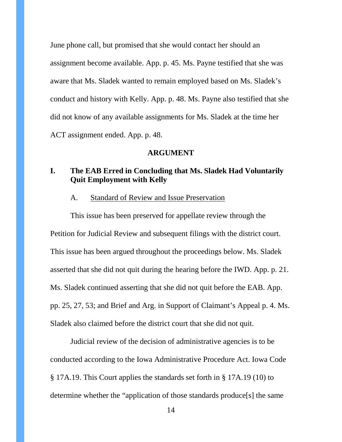June phone call, but promised that she would contact her should an assignment become available. App. p. 45. Ms. Payne testified that she was aware that Ms. Sladek wanted to remain employed based on Ms. Sladek's conduct and history with Kelly. App. p. 48. Ms. Payne also testified that she did not know of any available assignments for Ms. Sladek at the time her ACT assignment ended. App. p. 48.

#### **ARGUMENT**

## **I. The EAB Erred in Concluding that Ms. Sladek Had Voluntarily Quit Employment with Kelly**

#### A. Standard of Review and Issue Preservation

This issue has been preserved for appellate review through the Petition for Judicial Review and subsequent filings with the district court. This issue has been argued throughout the proceedings below. Ms. Sladek asserted that she did not quit during the hearing before the IWD. App. p. 21. Ms. Sladek continued asserting that she did not quit before the EAB. App. pp. 25, 27, 53; and Brief and Arg. in Support of Claimant's Appeal p. 4. Ms. Sladek also claimed before the district court that she did not quit.

Judicial review of the decision of administrative agencies is to be conducted according to the Iowa Administrative Procedure Act. Iowa Code § 17A.19. This Court applies the standards set forth in § 17A.19 (10) to determine whether the "application of those standards produce[s] the same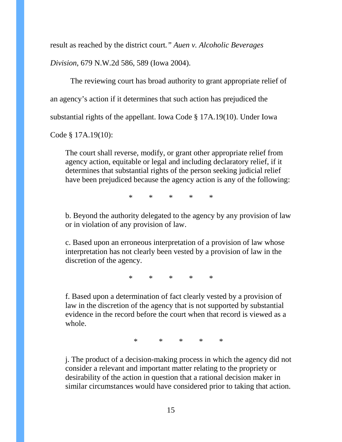result as reached by the district court*." Auen v. Alcoholic Beverages* 

*Division*, 679 N.W.2d 586, 589 (Iowa 2004).

The reviewing court has broad authority to grant appropriate relief of an agency's action if it determines that such action has prejudiced the substantial rights of the appellant. Iowa Code § 17A.19(10). Under Iowa

Code § 17A.19(10):

The court shall reverse, modify, or grant other appropriate relief from agency action, equitable or legal and including declaratory relief, if it determines that substantial rights of the person seeking judicial relief have been prejudiced because the agency action is any of the following:

 $*$  \* \* \*

b. Beyond the authority delegated to the agency by any provision of law or in violation of any provision of law.

c. Based upon an erroneous interpretation of a provision of law whose interpretation has not clearly been vested by a provision of law in the discretion of the agency.

\* \* \* \* \*

f. Based upon a determination of fact clearly vested by a provision of law in the discretion of the agency that is not supported by substantial evidence in the record before the court when that record is viewed as a whole.

\* \* \* \* \*

j. The product of a decision-making process in which the agency did not consider a relevant and important matter relating to the propriety or desirability of the action in question that a rational decision maker in similar circumstances would have considered prior to taking that action.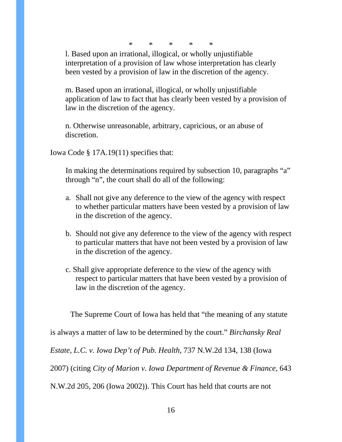\* \* \* \* \*

l. Based upon an irrational, illogical, or wholly unjustifiable interpretation of a provision of law whose interpretation has clearly been vested by a provision of law in the discretion of the agency.

m. Based upon an irrational, illogical, or wholly unjustifiable application of law to fact that has clearly been vested by a provision of law in the discretion of the agency.

n. Otherwise unreasonable, arbitrary, capricious, or an abuse of discretion.

Iowa Code § 17A.19(11) specifies that:

In making the determinations required by subsection 10, paragraphs "a" through "n", the court shall do all of the following:

- a. Shall not give any deference to the view of the agency with respect to whether particular matters have been vested by a provision of law in the discretion of the agency.
- b. Should not give any deference to the view of the agency with respect to particular matters that have not been vested by a provision of law in the discretion of the agency.
- c. Shall give appropriate deference to the view of the agency with respect to particular matters that have been vested by a provision of law in the discretion of the agency.

The Supreme Court of Iowa has held that "the meaning of any statute

is always a matter of law to be determined by the court." *Birchansky Real* 

*Estate, L.C. v. Iowa Dep't of Pub. Health*, 737 N.W.2d 134, 138 (Iowa

2007) (citing *City of Marion v. Iowa Department of Revenue & Finance*, 643

N.W.2d 205, 206 (Iowa 2002)). This Court has held that courts are not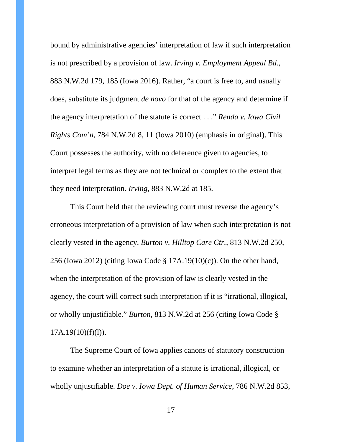bound by administrative agencies' interpretation of law if such interpretation is not prescribed by a provision of law. *Irving v. Employment Appeal Bd.*, 883 N.W.2d 179, 185 (Iowa 2016). Rather, "a court is free to, and usually does, substitute its judgment *de novo* for that of the agency and determine if the agency interpretation of the statute is correct . . ." *Renda v. Iowa Civil Rights Com'n*, 784 N.W.2d 8, 11 (Iowa 2010) (emphasis in original). This Court possesses the authority, with no deference given to agencies, to interpret legal terms as they are not technical or complex to the extent that they need interpretation. *Irving*, 883 N.W.2d at 185.

This Court held that the reviewing court must reverse the agency's erroneous interpretation of a provision of law when such interpretation is not clearly vested in the agency. *Burton v. Hilltop Care Ctr.*, 813 N.W.2d 250, 256 (Iowa 2012) (citing Iowa Code § 17A.19(10)(c)). On the other hand, when the interpretation of the provision of law is clearly vested in the agency, the court will correct such interpretation if it is "irrational, illogical, or wholly unjustifiable." *Burton*, 813 N.W.2d at 256 (citing Iowa Code §  $17A.19(10)(f)(l)$ ).

The Supreme Court of Iowa applies canons of statutory construction to examine whether an interpretation of a statute is irrational, illogical, or wholly unjustifiable. *Doe v. Iowa Dept. of Human Service*, 786 N.W.2d 853,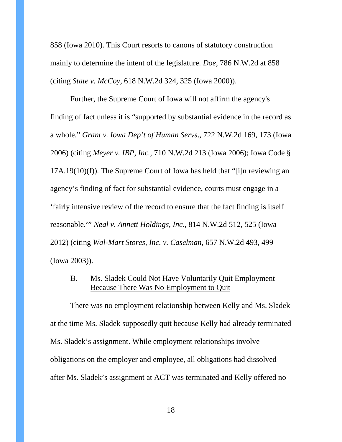858 (Iowa 2010). This Court resorts to canons of statutory construction mainly to determine the intent of the legislature. *Doe*, 786 N.W.2d at 858 (citing *State v. McCoy*, 618 N.W.2d 324, 325 (Iowa 2000)).

Further, the Supreme Court of Iowa will not affirm the agency's finding of fact unless it is "supported by substantial evidence in the record as a whole." *Grant v. Iowa Dep't of Human Servs*., 722 N.W.2d 169, 173 (Iowa 2006) (citing *Meyer v. IBP, Inc.,* 710 N.W.2d 213 (Iowa 2006); Iowa Code § 17A.19(10)(f)). The Supreme Court of Iowa has held that "[i]n reviewing an agency's finding of fact for substantial evidence, courts must engage in a 'fairly intensive review of the record to ensure that the fact finding is itself reasonable.'" *Neal v. Annett Holdings, Inc.*, 814 N.W.2d 512, 525 (Iowa 2012) (citing *Wal-Mart Stores, Inc. v. Caselman*, 657 N.W.2d 493, 499 (Iowa 2003)).

#### B. Ms. Sladek Could Not Have Voluntarily Quit Employment Because There Was No Employment to Quit

There was no employment relationship between Kelly and Ms. Sladek at the time Ms. Sladek supposedly quit because Kelly had already terminated Ms. Sladek's assignment. While employment relationships involve obligations on the employer and employee, all obligations had dissolved after Ms. Sladek's assignment at ACT was terminated and Kelly offered no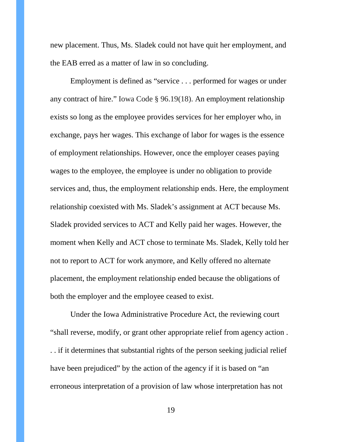new placement. Thus, Ms. Sladek could not have quit her employment, and the EAB erred as a matter of law in so concluding.

Employment is defined as "service . . . performed for wages or under any contract of hire." Iowa Code § 96.19(18). An employment relationship exists so long as the employee provides services for her employer who, in exchange, pays her wages. This exchange of labor for wages is the essence of employment relationships. However, once the employer ceases paying wages to the employee, the employee is under no obligation to provide services and, thus, the employment relationship ends. Here, the employment relationship coexisted with Ms. Sladek's assignment at ACT because Ms. Sladek provided services to ACT and Kelly paid her wages. However, the moment when Kelly and ACT chose to terminate Ms. Sladek, Kelly told her not to report to ACT for work anymore, and Kelly offered no alternate placement, the employment relationship ended because the obligations of both the employer and the employee ceased to exist.

Under the Iowa Administrative Procedure Act, the reviewing court "shall reverse, modify, or grant other appropriate relief from agency action . . . if it determines that substantial rights of the person seeking judicial relief have been prejudiced" by the action of the agency if it is based on "an erroneous interpretation of a provision of law whose interpretation has not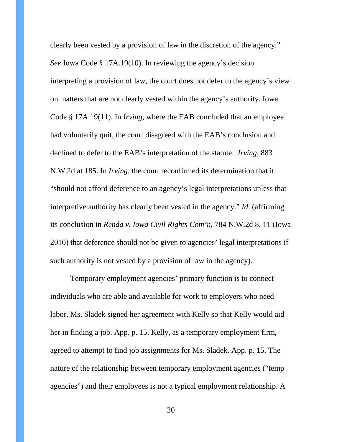clearly been vested by a provision of law in the discretion of the agency." *See* Iowa Code § 17A.19(10). In reviewing the agency's decision interpreting a provision of law, the court does not defer to the agency's view on matters that are not clearly vested within the agency's authority. Iowa Code § 17A.19(11). In *Irving*, where the EAB concluded that an employee had voluntarily quit, the court disagreed with the EAB's conclusion and declined to defer to the EAB's interpretation of the statute. *Irving*, 883 N.W.2d at 185. In *Irving*, the court reconfirmed its determination that it "should not afford deference to an agency's legal interpretations unless that interpretive authority has clearly been vested in the agency." *Id*. (affirming its conclusion in *Renda v. Iowa Civil Rights Com'n,* 784 N.W.2d 8, 11 (Iowa 2010) that deference should not be given to agencies' legal interpretations if such authority is not vested by a provision of law in the agency).

Temporary employment agencies' primary function is to connect individuals who are able and available for work to employers who need labor. Ms. Sladek signed her agreement with Kelly so that Kelly would aid her in finding a job. App. p. 15. Kelly, as a temporary employment firm, agreed to attempt to find job assignments for Ms. Sladek. App. p. 15. The nature of the relationship between temporary employment agencies ("temp agencies") and their employees is not a typical employment relationship. A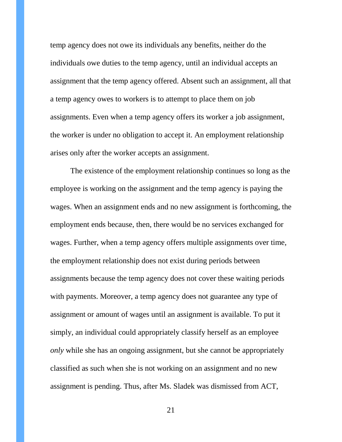temp agency does not owe its individuals any benefits, neither do the individuals owe duties to the temp agency, until an individual accepts an assignment that the temp agency offered. Absent such an assignment, all that a temp agency owes to workers is to attempt to place them on job assignments. Even when a temp agency offers its worker a job assignment, the worker is under no obligation to accept it. An employment relationship arises only after the worker accepts an assignment.

The existence of the employment relationship continues so long as the employee is working on the assignment and the temp agency is paying the wages. When an assignment ends and no new assignment is forthcoming, the employment ends because, then, there would be no services exchanged for wages. Further, when a temp agency offers multiple assignments over time, the employment relationship does not exist during periods between assignments because the temp agency does not cover these waiting periods with payments. Moreover, a temp agency does not guarantee any type of assignment or amount of wages until an assignment is available. To put it simply, an individual could appropriately classify herself as an employee *only* while she has an ongoing assignment, but she cannot be appropriately classified as such when she is not working on an assignment and no new assignment is pending. Thus, after Ms. Sladek was dismissed from ACT,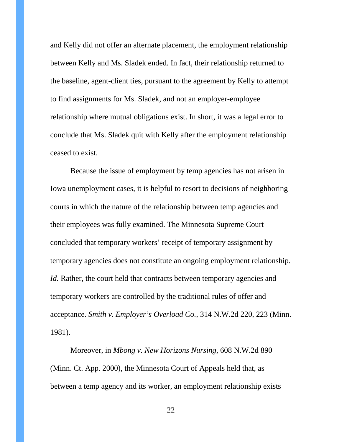and Kelly did not offer an alternate placement, the employment relationship between Kelly and Ms. Sladek ended. In fact, their relationship returned to the baseline, agent-client ties, pursuant to the agreement by Kelly to attempt to find assignments for Ms. Sladek, and not an employer-employee relationship where mutual obligations exist. In short, it was a legal error to conclude that Ms. Sladek quit with Kelly after the employment relationship ceased to exist.

Because the issue of employment by temp agencies has not arisen in Iowa unemployment cases, it is helpful to resort to decisions of neighboring courts in which the nature of the relationship between temp agencies and their employees was fully examined. The Minnesota Supreme Court concluded that temporary workers' receipt of temporary assignment by temporary agencies does not constitute an ongoing employment relationship. *Id.* Rather, the court held that contracts between temporary agencies and temporary workers are controlled by the traditional rules of offer and acceptance. *Smith v. Employer's Overload Co.*, 314 N.W.2d 220, 223 (Minn. 1981).

Moreover, in *Mbong v. New Horizons Nursing*, 608 N.W.2d 890 (Minn. Ct. App. 2000), the Minnesota Court of Appeals held that, as between a temp agency and its worker, an employment relationship exists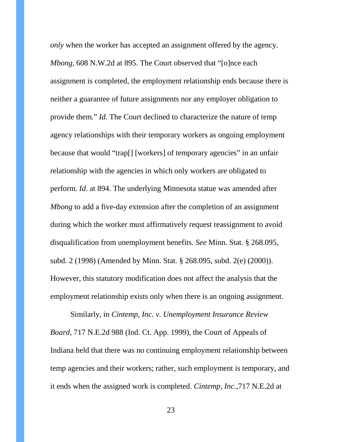*only* when the worker has accepted an assignment offered by the agency. *Mbong,* 608 N.W.2d at 895. The Court observed that "[o]nce each assignment is completed, the employment relationship ends because there is neither a guarantee of future assignments nor any employer obligation to provide them." *Id*. The Court declined to characterize the nature of temp agency relationships with their temporary workers as ongoing employment because that would "trap[] [workers] of temporary agencies" in an unfair relationship with the agencies in which only workers are obligated to perform. *Id*. at 894. The underlying Minnesota statue was amended after *Mbong* to add a five-day extension after the completion of an assignment during which the worker must affirmatively request reassignment to avoid disqualification from unemployment benefits. *See* Minn. Stat. § 268.095, subd. 2 (1998) (Amended by Minn. Stat. § 268.095, subd. 2(e) (2000)). However, this statutory modification does not affect the analysis that the employment relationship exists only when there is an ongoing assignment.

Similarly, in *Cintemp, Inc. v. Unemployment Insurance Review Board,* 717 N.E.2d 988 (Ind. Ct. App. 1999), the Court of Appeals of Indiana held that there was no continuing employment relationship between temp agencies and their workers; rather, such employment is temporary, and it ends when the assigned work is completed. *Cintemp, Inc.,*717 N.E.2d at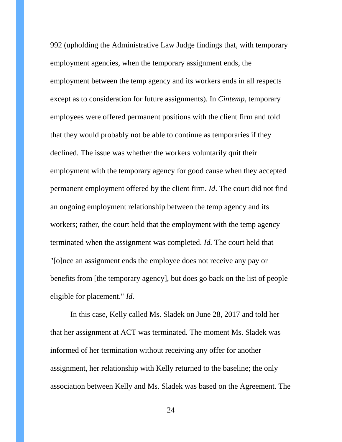992 (upholding the Administrative Law Judge findings that, with temporary employment agencies, when the temporary assignment ends, the employment between the temp agency and its workers ends in all respects except as to consideration for future assignments). In *Cintemp*, temporary employees were offered permanent positions with the client firm and told that they would probably not be able to continue as temporaries if they declined. The issue was whether the workers voluntarily quit their employment with the temporary agency for good cause when they accepted permanent employment offered by the client firm. *Id*. The court did not find an ongoing employment relationship between the temp agency and its workers; rather, the court held that the employment with the temp agency terminated when the assignment was completed. *Id.* The court held that "[o]nce an assignment ends the employee does not receive any pay or benefits from [the temporary agency], but does go back on the list of people eligible for placement." *Id.*

In this case, Kelly called Ms. Sladek on June 28, 2017 and told her that her assignment at ACT was terminated. The moment Ms. Sladek was informed of her termination without receiving any offer for another assignment, her relationship with Kelly returned to the baseline; the only association between Kelly and Ms. Sladek was based on the Agreement. The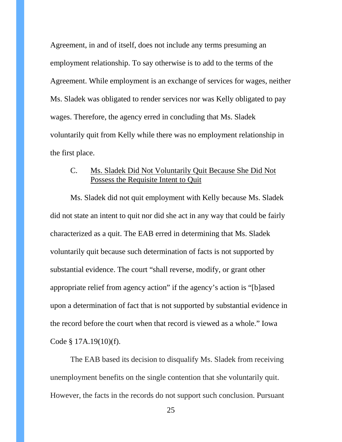Agreement, in and of itself, does not include any terms presuming an employment relationship. To say otherwise is to add to the terms of the Agreement. While employment is an exchange of services for wages, neither Ms. Sladek was obligated to render services nor was Kelly obligated to pay wages. Therefore, the agency erred in concluding that Ms. Sladek voluntarily quit from Kelly while there was no employment relationship in the first place.

## C. Ms. Sladek Did Not Voluntarily Quit Because She Did Not Possess the Requisite Intent to Quit

Ms. Sladek did not quit employment with Kelly because Ms. Sladek did not state an intent to quit nor did she act in any way that could be fairly characterized as a quit. The EAB erred in determining that Ms. Sladek voluntarily quit because such determination of facts is not supported by substantial evidence. The court "shall reverse, modify, or grant other appropriate relief from agency action" if the agency's action is "[b]ased upon a determination of fact that is not supported by substantial evidence in the record before the court when that record is viewed as a whole." [Iowa](https://1.next.westlaw.com/Link/Document/FullText?findType=L&pubNum=1000256&cite=IASTS17.19&originatingDoc=I0fd0f7f1490a11e287a9c52cdddac4f7&refType=LQ&originationContext=document&transitionType=DocumentItem&contextData=(sc.History*oc.DocLevelRec))  [Code § 17A.19\(10\)\(f\).](https://1.next.westlaw.com/Link/Document/FullText?findType=L&pubNum=1000256&cite=IASTS17.19&originatingDoc=I0fd0f7f1490a11e287a9c52cdddac4f7&refType=LQ&originationContext=document&transitionType=DocumentItem&contextData=(sc.History*oc.DocLevelRec))

The EAB based its decision to disqualify Ms. Sladek from receiving unemployment benefits on the single contention that she voluntarily quit. However, the facts in the records do not support such conclusion. Pursuant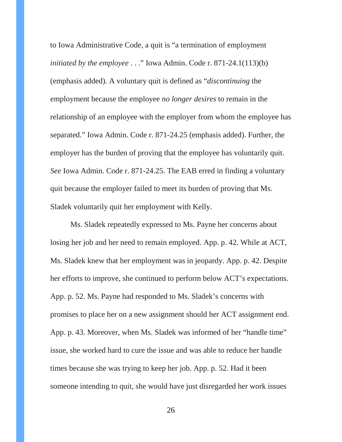to Iowa Administrative Code, a quit is "a termination of employment *initiated by the employee* . . ." Iowa Admin. Code r. 871-24.1(113)(b) (emphasis added). A voluntary quit is defined as "*discontinuing* the employment because the employee *no longer desires* to remain in the relationship of an employee with the employer from whom the employee has separated." Iowa Admin. Code r. 871-24.25 (emphasis added). Further, the employer has the burden of proving that the employee has voluntarily quit. *See* Iowa Admin. Code r. 871-24.25. The EAB erred in finding a voluntary quit because the employer failed to meet its burden of proving that Ms. Sladek voluntarily quit her employment with Kelly.

Ms. Sladek repeatedly expressed to Ms. Payne her concerns about losing her job and her need to remain employed. App. p. 42. While at ACT, Ms. Sladek knew that her employment was in jeopardy. App. p. 42. Despite her efforts to improve, she continued to perform below ACT's expectations. App. p. 52. Ms. Payne had responded to Ms. Sladek's concerns with promises to place her on a new assignment should her ACT assignment end. App. p. 43. Moreover, when Ms. Sladek was informed of her "handle time" issue, she worked hard to cure the issue and was able to reduce her handle times because she was trying to keep her job. App. p. 52. Had it been someone intending to quit, she would have just disregarded her work issues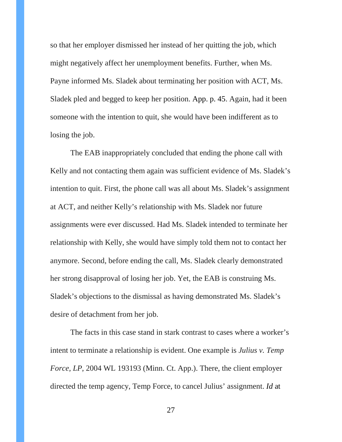so that her employer dismissed her instead of her quitting the job, which might negatively affect her unemployment benefits. Further, when Ms. Payne informed Ms. Sladek about terminating her position with ACT, Ms. Sladek pled and begged to keep her position. App. p. 45. Again, had it been someone with the intention to quit, she would have been indifferent as to losing the job.

The EAB inappropriately concluded that ending the phone call with Kelly and not contacting them again was sufficient evidence of Ms. Sladek's intention to quit. First, the phone call was all about Ms. Sladek's assignment at ACT, and neither Kelly's relationship with Ms. Sladek nor future assignments were ever discussed. Had Ms. Sladek intended to terminate her relationship with Kelly, she would have simply told them not to contact her anymore. Second, before ending the call, Ms. Sladek clearly demonstrated her strong disapproval of losing her job. Yet, the EAB is construing Ms. Sladek's objections to the dismissal as having demonstrated Ms. Sladek's desire of detachment from her job.

The facts in this case stand in stark contrast to cases where a worker's intent to terminate a relationship is evident. One example is *Julius v. Temp Force, LP*, 2004 WL 193193 (Minn. Ct. App.). There, the client employer directed the temp agency, Temp Force, to cancel Julius' assignment. *Id* at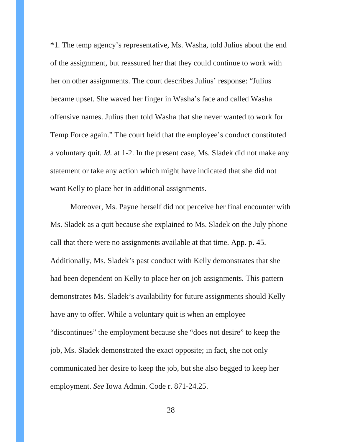\*1*.* The temp agency's representative, Ms. Washa, told Julius about the end of the assignment, but reassured her that they could continue to work with her on other assignments. The court describes Julius' response: "Julius became upset. She waved her finger in Washa's face and called Washa offensive names. Julius then told Washa that she never wanted to work for Temp Force again." The court held that the employee's conduct constituted a voluntary quit. *Id.* at 1-2. In the present case, Ms. Sladek did not make any statement or take any action which might have indicated that she did not want Kelly to place her in additional assignments.

Moreover, Ms. Payne herself did not perceive her final encounter with Ms. Sladek as a quit because she explained to Ms. Sladek on the July phone call that there were no assignments available at that time. App. p. 45. Additionally, Ms. Sladek's past conduct with Kelly demonstrates that she had been dependent on Kelly to place her on job assignments. This pattern demonstrates Ms. Sladek's availability for future assignments should Kelly have any to offer. While a voluntary quit is when an employee "discontinues" the employment because she "does not desire" to keep the job, Ms. Sladek demonstrated the exact opposite; in fact, she not only communicated her desire to keep the job, but she also begged to keep her employment. *See* Iowa Admin. Code r. 871-24.25.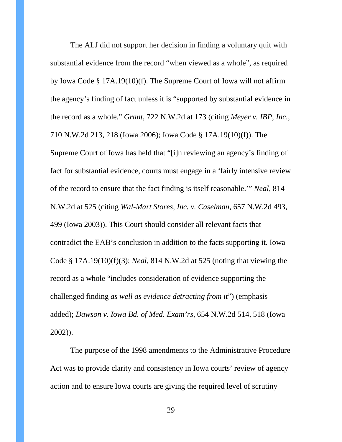The ALJ did not support her decision in finding a voluntary quit with substantial evidence from the record "when viewed as a whole", as required by Iowa Code § 17A.19(10)(f). The Supreme Court of Iowa will not affirm the agency's finding of fact unless it is "supported by substantial evidence in the record as a whole." *Grant*, 722 N.W.2d at 173 (citing *Meyer v. IBP, Inc.,* 710 N.W.2d 213, 218 (Iowa 2006); Iowa Code § 17A.19(10)(f)). The Supreme Court of Iowa has held that "[i]n reviewing an agency's finding of fact for substantial evidence, courts must engage in a 'fairly intensive review of the record to ensure that the fact finding is itself reasonable.'" *Neal*, 814 N.W.2d at 525 (citing *Wal-Mart Stores, Inc. v. Caselman*, 657 N.W.2d 493, 499 (Iowa 2003)). This Court should consider all relevant facts that contradict the EAB's conclusion in addition to the facts supporting it. Iowa Code § 17A.19(10)(f)(3); *Neal*, 814 N.W.2d at 525 (noting that viewing the record as a whole "includes consideration of evidence supporting the challenged finding *as well as evidence detracting from it*") (emphasis added); *Dawson v. Iowa Bd. of Med. Exam'rs*, 654 N.W.2d 514, 518 (Iowa 2002)).

The purpose of the 1998 amendments to the Administrative Procedure Act was to provide clarity and consistency in Iowa courts' review of agency action and to ensure Iowa courts are giving the required level of scrutiny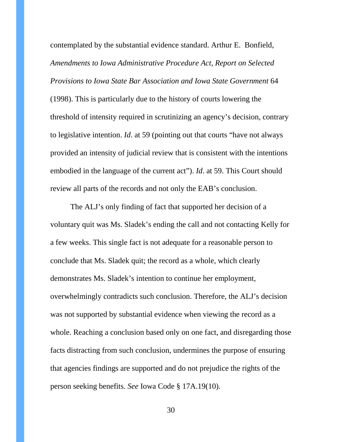contemplated by the substantial evidence standard. Arthur E. Bonfield, *Amendments to Iowa Administrative Procedure Act, Report on Selected Provisions to Iowa State Bar Association and Iowa State Government* 64 (1998). This is particularly due to the history of courts lowering the threshold of intensity required in scrutinizing an agency's decision, contrary to legislative intention. *Id*. at 59 (pointing out that courts "have not always provided an intensity of judicial review that is consistent with the intentions embodied in the language of the current act"). *Id*. at 59. This Court should review all parts of the records and not only the EAB's conclusion.

The ALJ's only finding of fact that supported her decision of a voluntary quit was Ms. Sladek's ending the call and not contacting Kelly for a few weeks. This single fact is not adequate for a reasonable person to conclude that Ms. Sladek quit; the record as a whole, which clearly demonstrates Ms. Sladek's intention to continue her employment, overwhelmingly contradicts such conclusion. Therefore, the ALJ's decision was not supported by substantial evidence when viewing the record as a whole. Reaching a conclusion based only on one fact, and disregarding those facts distracting from such conclusion, undermines the purpose of ensuring that agencies findings are supported and do not prejudice the rights of the person seeking benefits. *See* Iowa Code § 17A.19(10).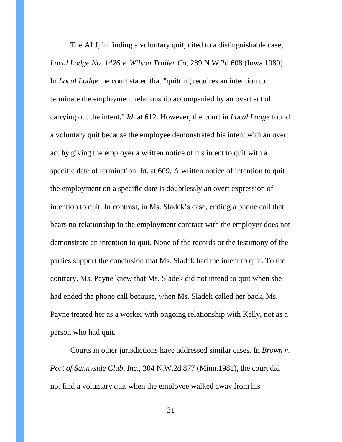The ALJ, in finding a voluntary quit, cited to a distinguishable case, *Local Lodge No. 1426 v. Wilson Trailer Co,* 289 N.W.2d 608 (Iowa 1980). In *Local Lodge* the court stated that "quitting requires an intention to terminate the employment relationship accompanied by an overt act of carrying out the intent." *Id*. at 612. However, the court in *Local Lodge* found a voluntary quit because the employee demonstrated his intent with an overt act by giving the employer a written notice of his intent to quit with a specific date of termination. *Id*. at 609. A written notice of intention to quit the employment on a specific date is doubtlessly an overt expression of intention to quit. In contrast, in Ms. Sladek's case, ending a phone call that bears no relationship to the employment contract with the employer does not demonstrate an intention to quit. None of the records or the testimony of the parties support the conclusion that Ms. Sladek had the intent to quit. To the contrary, Ms. Payne knew that Ms. Sladek did not intend to quit when she had ended the phone call because, when Ms. Sladek called her back, Ms. Payne treated her as a worker with ongoing relationship with Kelly, not as a person who had quit.

Courts in other jurisdictions have addressed similar cases. In *Brown v. Port of Sunnyside Club, Inc.*, 304 N.W.2d 877 (Minn.1981), the court did not find a voluntary quit when the employee walked away from his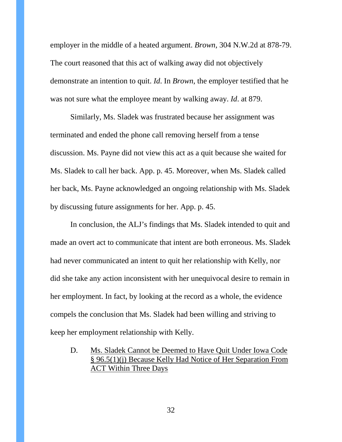employer in the middle of a heated argument. *Brown*, 304 N.W.2d at 878-79. The court reasoned that this act of walking away did not objectively demonstrate an intention to quit. *Id*. In *Brown*, the employer testified that he was not sure what the employee meant by walking away. *Id*. at 879.

Similarly, Ms. Sladek was frustrated because her assignment was terminated and ended the phone call removing herself from a tense discussion. Ms. Payne did not view this act as a quit because she waited for Ms. Sladek to call her back. App. p. 45. Moreover, when Ms. Sladek called her back, Ms. Payne acknowledged an ongoing relationship with Ms. Sladek by discussing future assignments for her. App. p. 45.

In conclusion, the ALJ's findings that Ms. Sladek intended to quit and made an overt act to communicate that intent are both erroneous. Ms. Sladek had never communicated an intent to quit her relationship with Kelly, nor did she take any action inconsistent with her unequivocal desire to remain in her employment. In fact, by looking at the record as a whole, the evidence compels the conclusion that Ms. Sladek had been willing and striving to keep her employment relationship with Kelly.

D. Ms. Sladek Cannot be Deemed to Have Quit Under Iowa Code § 96.5(1)(j) Because Kelly Had Notice of Her Separation From ACT Within Three Days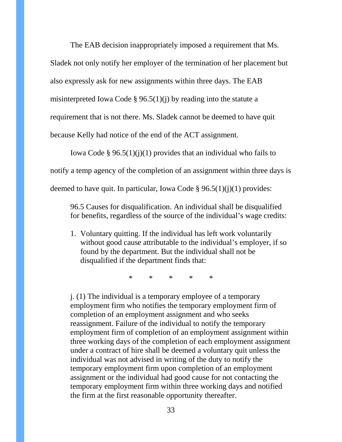The EAB decision inappropriately imposed a requirement that Ms. Sladek not only notify her employer of the termination of her placement but also expressly ask for new assignments within three days. The EAB misinterpreted Iowa Code § 96.5(1)(j) by reading into the statute a requirement that is not there. Ms. Sladek cannot be deemed to have quit

because Kelly had notice of the end of the ACT assignment.

Iowa Code § 96.5(1)(j)(1) provides that an individual who fails to notify a temp agency of the completion of an assignment within three days is deemed to have quit. In particular, Iowa Code §  $96.5(1)(i)(1)$  provides:

96.5 Causes for disqualification. An individual shall be disqualified for benefits, regardless of the source of the individual's wage credits:

1. Voluntary quitting. If the individual has left work voluntarily without good cause attributable to the individual's employer, if so found by the department. But the individual shall not be disqualified if the department finds that:

\* \* \* \* \*

j. (1) The individual is a temporary employee of a temporary employment firm who notifies the temporary employment firm of completion of an employment assignment and who seeks reassignment. Failure of the individual to notify the temporary employment firm of completion of an employment assignment within three working days of the completion of each employment assignment under a contract of hire shall be deemed a voluntary quit unless the individual was not advised in writing of the duty to notify the temporary employment firm upon completion of an employment assignment or the individual had good cause for not contacting the temporary employment firm within three working days and notified the firm at the first reasonable opportunity thereafter.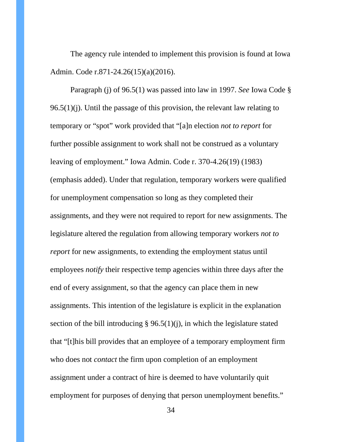The agency rule intended to implement this provision is found at Iowa Admin. Code r.871-24.26(15)(a)(2016).

Paragraph (j) of 96.5(1) was passed into law in 1997. *See* Iowa Code §  $96.5(1)(i)$ . Until the passage of this provision, the relevant law relating to temporary or "spot" work provided that "[a]n election *not to report* for further possible assignment to work shall not be construed as a voluntary leaving of employment." Iowa Admin. Code r. 370-4.26(19) (1983) (emphasis added). Under that regulation, temporary workers were qualified for unemployment compensation so long as they completed their assignments, and they were not required to report for new assignments. The legislature altered the regulation from allowing temporary workers *not to report* for new assignments, to extending the employment status until employees *notify* their respective temp agencies within three days after the end of every assignment, so that the agency can place them in new assignments. This intention of the legislature is explicit in the explanation section of the bill introducing § 96.5(1)(j), in which the legislature stated that "[t]his bill provides that an employee of a temporary employment firm who does not *contact* the firm upon completion of an employment assignment under a contract of hire is deemed to have voluntarily quit employment for purposes of denying that person unemployment benefits."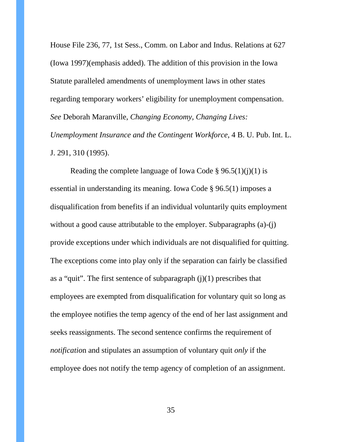House File 236, 77, 1st Sess., Comm. on Labor and Indus. Relations at 627 (Iowa 1997)(emphasis added). The addition of this provision in the Iowa Statute paralleled amendments of unemployment laws in other states regarding temporary workers' eligibility for unemployment compensation. *See* Deborah Maranville, *Changing Economy, Changing Lives: Unemployment Insurance and the Contingent Workforce*, 4 B. U. Pub. Int. L. J. 291, 310 (1995).

Reading the complete language of Iowa Code §  $96.5(1)(i)(1)$  is essential in understanding its meaning. Iowa Code § 96.5(1) imposes a disqualification from benefits if an individual voluntarily quits employment without a good cause attributable to the employer. Subparagraphs (a)-(j) provide exceptions under which individuals are not disqualified for quitting. The exceptions come into play only if the separation can fairly be classified as a "quit". The first sentence of subparagraph  $(j)(1)$  prescribes that employees are exempted from disqualification for voluntary quit so long as the employee notifies the temp agency of the end of her last assignment and seeks reassignments. The second sentence confirms the requirement of *notificatio*n and stipulates an assumption of voluntary quit *only* if the employee does not notify the temp agency of completion of an assignment.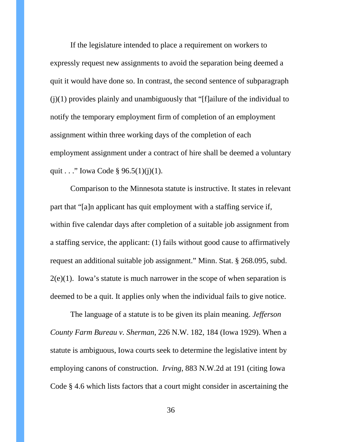If the legislature intended to place a requirement on workers to expressly request new assignments to avoid the separation being deemed a quit it would have done so. In contrast, the second sentence of subparagraph  $(i)(1)$  provides plainly and unambiguously that "[f]ailure of the individual to notify the temporary employment firm of completion of an employment assignment within three working days of the completion of each employment assignment under a contract of hire shall be deemed a voluntary quit . . ." Iowa Code § 96.5(1)(j)(1).

Comparison to the Minnesota statute is instructive. It states in relevant part that "[a]n applicant has quit employment with a staffing service if, within five calendar days after completion of a suitable job assignment from a staffing service, the applicant: (1) fails without good cause to affirmatively request an additional suitable job assignment." Minn. Stat. § 268.095, subd.  $2(e)(1)$ . Iowa's statute is much narrower in the scope of when separation is deemed to be a quit. It applies only when the individual fails to give notice.

The language of a statute is to be given its plain meaning. *Jefferson County Farm Bureau v. Sherman*, 226 N.W. 182, 184 (Iowa 1929). When a statute is ambiguous, Iowa courts seek to determine the legislative intent by employing canons of construction. *Irving*, 883 N.W.2d at 191 (citing Iowa Code § 4.6 which lists factors that a court might consider in ascertaining the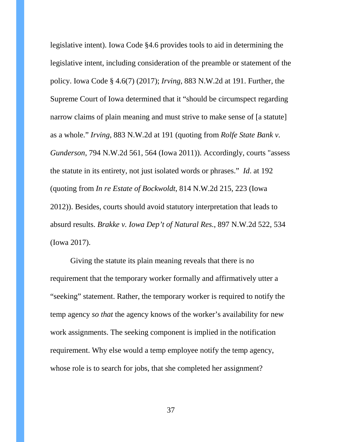legislative intent). Iowa Code §4.6 provides tools to aid in determining the legislative intent, including consideration of the preamble or statement of the policy. Iowa Code § 4.6(7) (2017); *Irving*, 883 N.W.2d at 191. Further, the Supreme Court of Iowa determined that it "should be circumspect regarding narrow claims of plain meaning and must strive to make sense of [a statute] as a whole." *Irving*, 883 N.W.2d at 191 (quoting from *Rolfe State Bank v. Gunderson*, 794 N.W.2d 561, 564 (Iowa 2011)). Accordingly, courts "assess the statute in its entirety, not just isolated words or phrases." *Id*. at 192 (quoting from *In re Estate of Bockwoldt*, 814 N.W.2d 215, 223 (Iowa 2012)). Besides, courts should avoid statutory interpretation that leads to absurd results. *Brakke v. Iowa Dep't of Natural Res.*, 897 N.W.2d 522, 534 (Iowa 2017).

Giving the statute its plain meaning reveals that there is no requirement that the temporary worker formally and affirmatively utter a "seeking" statement. Rather, the temporary worker is required to notify the temp agency *so that* the agency knows of the worker's availability for new work assignments. The seeking component is implied in the notification requirement. Why else would a temp employee notify the temp agency, whose role is to search for jobs, that she completed her assignment?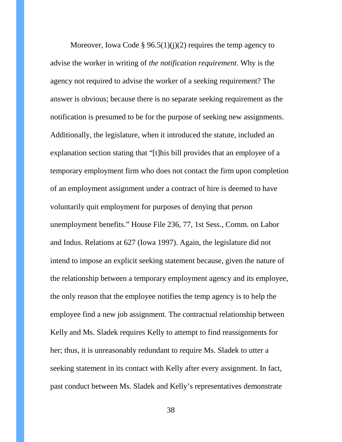Moreover, Iowa Code §  $96.5(1)(i)(2)$  requires the temp agency to advise the worker in writing of *the notification requirement*. Why is the agency not required to advise the worker of a seeking requirement? The answer is obvious; because there is no separate seeking requirement as the notification is presumed to be for the purpose of seeking new assignments. Additionally, the legislature, when it introduced the statute, included an explanation section stating that "[t]his bill provides that an employee of a temporary employment firm who does not contact the firm upon completion of an employment assignment under a contract of hire is deemed to have voluntarily quit employment for purposes of denying that person unemployment benefits." House File 236, 77, 1st Sess., Comm. on Labor and Indus. Relations at 627 (Iowa 1997). Again, the legislature did not intend to impose an explicit seeking statement because, given the nature of the relationship between a temporary employment agency and its employee, the only reason that the employee notifies the temp agency is to help the employee find a new job assignment. The contractual relationship between Kelly and Ms. Sladek requires Kelly to attempt to find reassignments for her; thus, it is unreasonably redundant to require Ms. Sladek to utter a seeking statement in its contact with Kelly after every assignment. In fact, past conduct between Ms. Sladek and Kelly's representatives demonstrate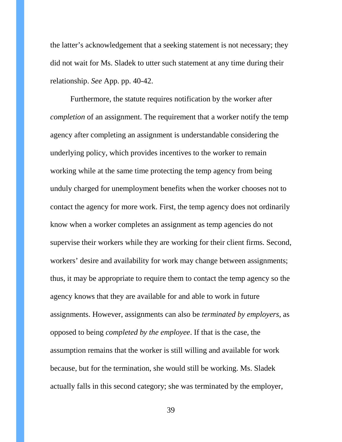the latter's acknowledgement that a seeking statement is not necessary; they did not wait for Ms. Sladek to utter such statement at any time during their relationship. *See* App. pp. 40-42.

Furthermore, the statute requires notification by the worker after *completion* of an assignment. The requirement that a worker notify the temp agency after completing an assignment is understandable considering the underlying policy, which provides incentives to the worker to remain working while at the same time protecting the temp agency from being unduly charged for unemployment benefits when the worker chooses not to contact the agency for more work. First, the temp agency does not ordinarily know when a worker completes an assignment as temp agencies do not supervise their workers while they are working for their client firms. Second, workers' desire and availability for work may change between assignments; thus, it may be appropriate to require them to contact the temp agency so the agency knows that they are available for and able to work in future assignments. However, assignments can also be *terminated by employers*, as opposed to being *completed by the employee*. If that is the case, the assumption remains that the worker is still willing and available for work because, but for the termination, she would still be working. Ms. Sladek actually falls in this second category; she was terminated by the employer,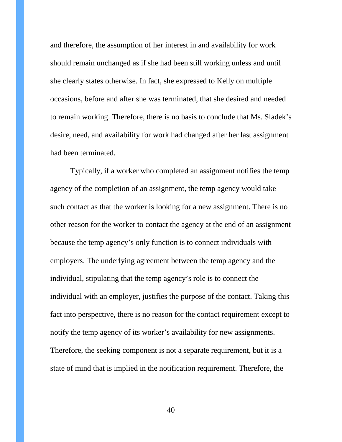and therefore, the assumption of her interest in and availability for work should remain unchanged as if she had been still working unless and until she clearly states otherwise. In fact, she expressed to Kelly on multiple occasions, before and after she was terminated, that she desired and needed to remain working. Therefore, there is no basis to conclude that Ms. Sladek's desire, need, and availability for work had changed after her last assignment had been terminated.

Typically, if a worker who completed an assignment notifies the temp agency of the completion of an assignment, the temp agency would take such contact as that the worker is looking for a new assignment. There is no other reason for the worker to contact the agency at the end of an assignment because the temp agency's only function is to connect individuals with employers. The underlying agreement between the temp agency and the individual, stipulating that the temp agency's role is to connect the individual with an employer, justifies the purpose of the contact. Taking this fact into perspective, there is no reason for the contact requirement except to notify the temp agency of its worker's availability for new assignments. Therefore, the seeking component is not a separate requirement, but it is a state of mind that is implied in the notification requirement. Therefore, the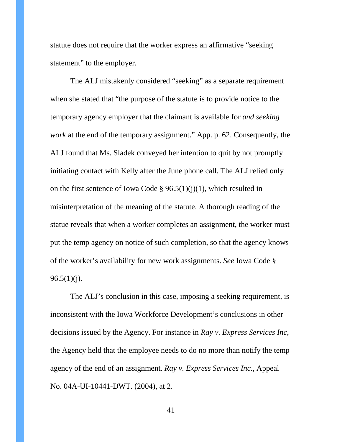statute does not require that the worker express an affirmative "seeking statement" to the employer.

The ALJ mistakenly considered "seeking" as a separate requirement when she stated that "the purpose of the statute is to provide notice to the temporary agency employer that the claimant is available for *and seeking work* at the end of the temporary assignment." App. p. 62. Consequently, the ALJ found that Ms. Sladek conveyed her intention to quit by not promptly initiating contact with Kelly after the June phone call. The ALJ relied only on the first sentence of Iowa Code § 96.5(1)(j)(1), which resulted in misinterpretation of the meaning of the statute. A thorough reading of the statue reveals that when a worker completes an assignment, the worker must put the temp agency on notice of such completion, so that the agency knows of the worker's availability for new work assignments. *See* Iowa Code §  $96.5(1)(j).$ 

The ALJ's conclusion in this case, imposing a seeking requirement, is inconsistent with the Iowa Workforce Development's conclusions in other decisions issued by the Agency. For instance in *Ray v. Express Services Inc*, the Agency held that the employee needs to do no more than notify the temp agency of the end of an assignment. *Ray v. Express Services Inc.*, Appeal No. 04A-UI-10441-DWT. (2004), at 2.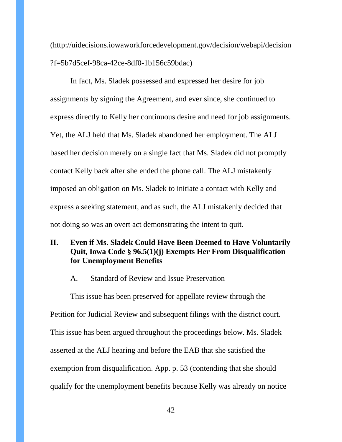(http://uidecisions.iowaworkforcedevelopment.gov/decision/webapi/decision ?f=5b7d5cef-98ca-42ce-8df0-1b156c59bdac)

In fact, Ms. Sladek possessed and expressed her desire for job assignments by signing the Agreement, and ever since, she continued to express directly to Kelly her continuous desire and need for job assignments. Yet, the ALJ held that Ms. Sladek abandoned her employment. The ALJ based her decision merely on a single fact that Ms. Sladek did not promptly contact Kelly back after she ended the phone call. The ALJ mistakenly imposed an obligation on Ms. Sladek to initiate a contact with Kelly and express a seeking statement, and as such, the ALJ mistakenly decided that not doing so was an overt act demonstrating the intent to quit.

## **II. Even if Ms. Sladek Could Have Been Deemed to Have Voluntarily Quit, Iowa Code § 96.5(1)(j) Exempts Her From Disqualification for Unemployment Benefits**

#### A. Standard of Review and Issue Preservation

This issue has been preserved for appellate review through the Petition for Judicial Review and subsequent filings with the district court. This issue has been argued throughout the proceedings below. Ms. Sladek asserted at the ALJ hearing and before the EAB that she satisfied the exemption from disqualification. App. p. 53 (contending that she should qualify for the unemployment benefits because Kelly was already on notice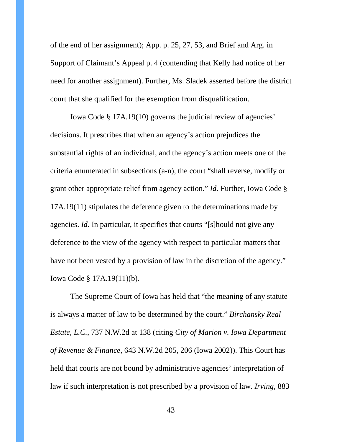of the end of her assignment); App. p. 25, 27, 53, and Brief and Arg. in Support of Claimant's Appeal p. 4 (contending that Kelly had notice of her need for another assignment). Further, Ms. Sladek asserted before the district court that she qualified for the exemption from disqualification.

Iowa Code § 17A.19(10) governs the judicial review of agencies' decisions. It prescribes that when an agency's action prejudices the substantial rights of an individual, and the agency's action meets one of the criteria enumerated in subsections (a-n), the court "shall reverse, modify or grant other appropriate relief from agency action." *Id*. Further, Iowa Code § 17A.19(11) stipulates the deference given to the determinations made by agencies. *Id*. In particular, it specifies that courts "[s]hould not give any deference to the view of the agency with respect to particular matters that have not been vested by a provision of law in the discretion of the agency." Iowa Code § 17A.19(11)(b).

The Supreme Court of Iowa has held that "the meaning of any statute is always a matter of law to be determined by the court." *Birchansky Real Estate, L.C.*, 737 N.W.2d at 138 (citing *City of Marion v. Iowa Department of Revenue & Finance*, 643 N.W.2d 205, 206 (Iowa 2002)). This Court has held that courts are not bound by administrative agencies' interpretation of law if such interpretation is not prescribed by a provision of law. *Irving,* 883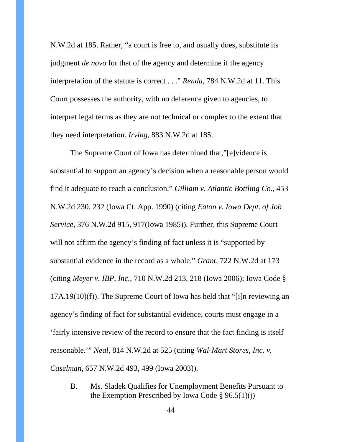N.W.2d at 185. Rather, "a court is free to, and usually does, substitute its judgment *de novo* for that of the agency and determine if the agency interpretation of the statute is correct . . ." *Renda*, 784 N.W.2d at 11. This Court possesses the authority, with no deference given to agencies, to interpret legal terms as they are not technical or complex to the extent that they need interpretation. *Irving*, 883 N.W.2d at 185.

The Supreme Court of Iowa has determined that,"[e]vidence is substantial to support an agency's decision when a reasonable person would find it adequate to reach a conclusion." *Gilliam v. Atlantic Bottling Co.*, 453 N.W.2d 230, 232 (Iowa Ct. App. 1990) (citing *Eaton v. Iowa Dept. of Job Service*, 376 N.W.2d 915, 917(Iowa 1985)). Further, this Supreme Court will not affirm the agency's finding of fact unless it is "supported by substantial evidence in the record as a whole." *Grant*, 722 N.W.2d at 173 (citing *Meyer v. IBP, Inc.,* 710 N.W.2d 213, 218 (Iowa 2006); Iowa Code § 17A.19(10)(f)). The Supreme Court of Iowa has held that "[i]n reviewing an agency's finding of fact for substantial evidence, courts must engage in a 'fairly intensive review of the record to ensure that the fact finding is itself reasonable.'" *Neal*, 814 N.W.2d at 525 (citing *Wal-Mart Stores, Inc. v. Caselman*, 657 N.W.2d 493, 499 (Iowa 2003)).

B. Ms. Sladek Qualifies for Unemployment Benefits Pursuant to the Exemption Prescribed by Iowa Code  $\S 96.5(1)(i)$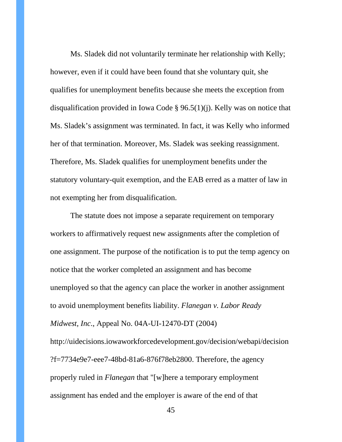Ms. Sladek did not voluntarily terminate her relationship with Kelly; however, even if it could have been found that she voluntary quit, she qualifies for unemployment benefits because she meets the exception from disqualification provided in Iowa Code § 96.5(1)(j). Kelly was on notice that Ms. Sladek's assignment was terminated. In fact, it was Kelly who informed her of that termination. Moreover, Ms. Sladek was seeking reassignment. Therefore, Ms. Sladek qualifies for unemployment benefits under the statutory voluntary-quit exemption, and the EAB erred as a matter of law in not exempting her from disqualification.

The statute does not impose a separate requirement on temporary workers to affirmatively request new assignments after the completion of one assignment. The purpose of the notification is to put the temp agency on notice that the worker completed an assignment and has become unemployed so that the agency can place the worker in another assignment to avoid unemployment benefits liability. *Flanegan v. Labor Ready Midwest, Inc*., Appeal No. 04A-UI-12470-DT (2004) http://uidecisions.iowaworkforcedevelopment.gov/decision/webapi/decision ?f=7734e9e7-eee7-48bd-81a6-876f78eb2800. Therefore, the agency properly ruled in *Flanegan* that "[w]here a temporary employment assignment has ended and the employer is aware of the end of that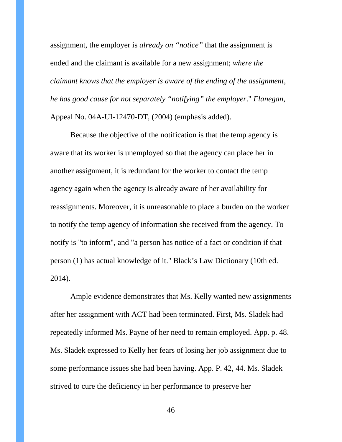assignment, the employer is *already on "notice"* that the assignment is ended and the claimant is available for a new assignment; *where the claimant knows that the employer is aware of the ending of the assignment, he has good cause for not separately "notifying" the employer*." *Flanegan*, Appeal No. 04A-UI-12470-DT, (2004) (emphasis added).

Because the objective of the notification is that the temp agency is aware that its worker is unemployed so that the agency can place her in another assignment, it is redundant for the worker to contact the temp agency again when the agency is already aware of her availability for reassignments. Moreover, it is unreasonable to place a burden on the worker to notify the temp agency of information she received from the agency. To notify is "to inform", and "a person has notice of a fact or condition if that person (1) has actual knowledge of it." Black's Law Dictionary (10th ed. 2014).

Ample evidence demonstrates that Ms. Kelly wanted new assignments after her assignment with ACT had been terminated. First, Ms. Sladek had repeatedly informed Ms. Payne of her need to remain employed. App. p. 48. Ms. Sladek expressed to Kelly her fears of losing her job assignment due to some performance issues she had been having. App. P. 42, 44. Ms. Sladek strived to cure the deficiency in her performance to preserve her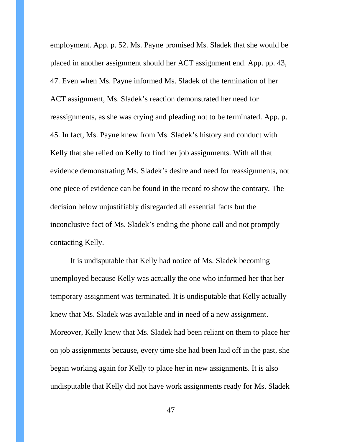employment. App. p. 52. Ms. Payne promised Ms. Sladek that she would be placed in another assignment should her ACT assignment end. App. pp. 43, 47. Even when Ms. Payne informed Ms. Sladek of the termination of her ACT assignment, Ms. Sladek's reaction demonstrated her need for reassignments, as she was crying and pleading not to be terminated. App. p. 45. In fact, Ms. Payne knew from Ms. Sladek's history and conduct with Kelly that she relied on Kelly to find her job assignments. With all that evidence demonstrating Ms. Sladek's desire and need for reassignments, not one piece of evidence can be found in the record to show the contrary. The decision below unjustifiably disregarded all essential facts but the inconclusive fact of Ms. Sladek's ending the phone call and not promptly contacting Kelly.

It is undisputable that Kelly had notice of Ms. Sladek becoming unemployed because Kelly was actually the one who informed her that her temporary assignment was terminated. It is undisputable that Kelly actually knew that Ms. Sladek was available and in need of a new assignment. Moreover, Kelly knew that Ms. Sladek had been reliant on them to place her on job assignments because, every time she had been laid off in the past, she began working again for Kelly to place her in new assignments. It is also undisputable that Kelly did not have work assignments ready for Ms. Sladek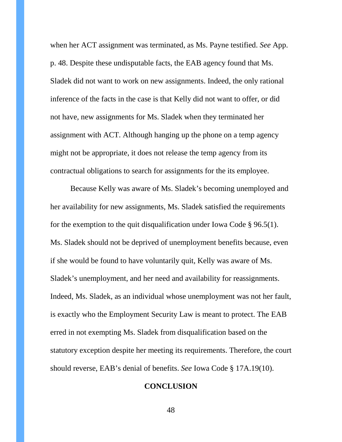when her ACT assignment was terminated, as Ms. Payne testified. *See* App. p. 48. Despite these undisputable facts, the EAB agency found that Ms. Sladek did not want to work on new assignments. Indeed, the only rational inference of the facts in the case is that Kelly did not want to offer, or did not have, new assignments for Ms. Sladek when they terminated her assignment with ACT. Although hanging up the phone on a temp agency might not be appropriate, it does not release the temp agency from its contractual obligations to search for assignments for the its employee.

Because Kelly was aware of Ms. Sladek's becoming unemployed and her availability for new assignments, Ms. Sladek satisfied the requirements for the exemption to the quit disqualification under Iowa Code § 96.5(1). Ms. Sladek should not be deprived of unemployment benefits because, even if she would be found to have voluntarily quit, Kelly was aware of Ms. Sladek's unemployment, and her need and availability for reassignments. Indeed, Ms. Sladek, as an individual whose unemployment was not her fault, is exactly who the Employment Security Law is meant to protect. The EAB erred in not exempting Ms. Sladek from disqualification based on the statutory exception despite her meeting its requirements. Therefore, the court should reverse, EAB's denial of benefits. *See* Iowa Code § 17A.19(10).

#### **CONCLUSION**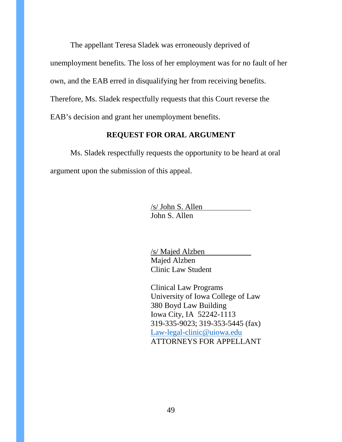The appellant Teresa Sladek was erroneously deprived of

unemployment benefits. The loss of her employment was for no fault of her

own, and the EAB erred in disqualifying her from receiving benefits.

Therefore, Ms. Sladek respectfully requests that this Court reverse the

EAB's decision and grant her unemployment benefits.

## **REQUEST FOR ORAL ARGUMENT**

Ms. Sladek respectfully requests the opportunity to be heard at oral argument upon the submission of this appeal.

> /s/ John S. Allen John S. Allen

/s/ Majed Alzben Majed Alzben Clinic Law Student

Clinical Law Programs University of Iowa College of Law 380 Boyd Law Building Iowa City, IA 52242-1113 319-335-9023; 319-353-5445 (fax) [Law-legal-clinic@uiowa.edu](mailto:Law-legal-clinic@uiowa.edu) ATTORNEYS FOR APPELLANT